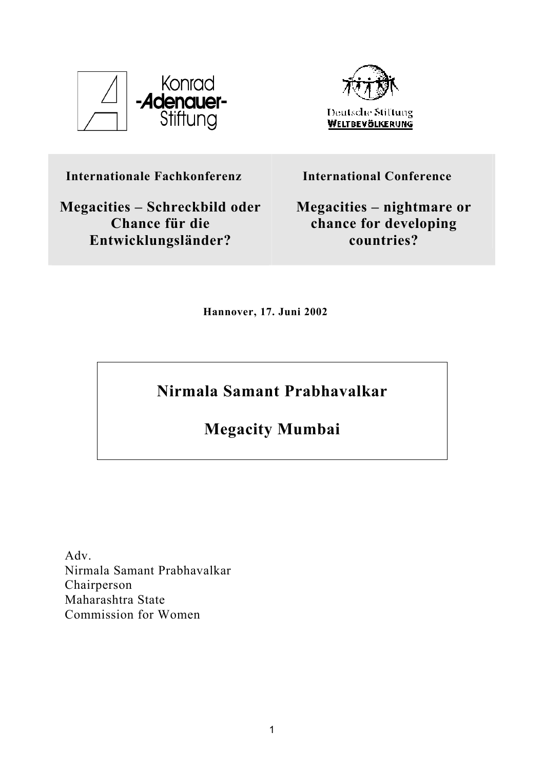



**Internationale Fachkonferenz** 

**Megacities – Schreckbild oder Chance für die Entwicklungsländer?** 

**International Conference** 

**Megacities – nightmare or chance for developing countries?**

**Hannover, 17. Juni 2002** 

**Nirmala Samant Prabhavalkar** 

**Megacity Mumbai** 

Adv. Nirmala Samant Prabhavalkar Chairperson Maharashtra State Commission for Women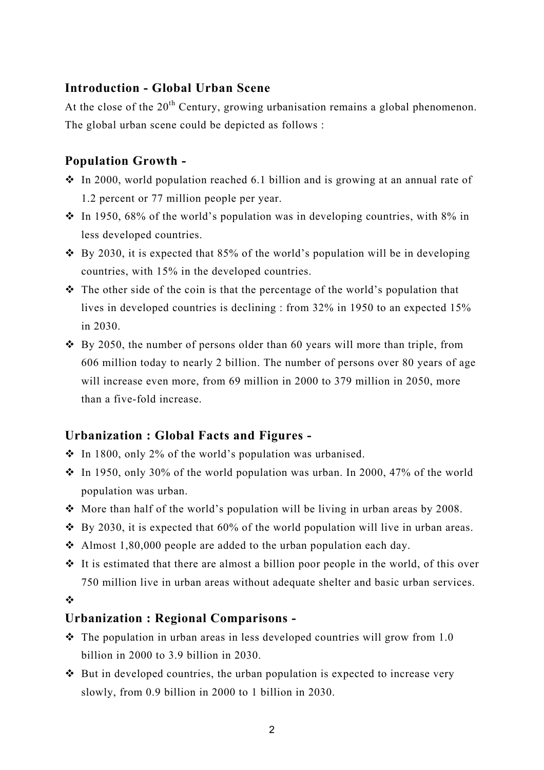### **Introduction - Global Urban Scene**

At the close of the  $20<sup>th</sup>$  Century, growing urbanisation remains a global phenomenon. The global urban scene could be depicted as follows :

### **Population Growth -**

- $\cdot$  In 2000, world population reached 6.1 billion and is growing at an annual rate of 1.2 percent or 77 million people per year.
- $\cdot$  In 1950, 68% of the world's population was in developing countries, with 8% in less developed countries.
- $\div$  By 2030, it is expected that 85% of the world's population will be in developing countries, with 15% in the developed countries.
- $\triangle$  The other side of the coin is that the percentage of the world's population that lives in developed countries is declining : from 32% in 1950 to an expected 15% in 2030.
- $\cdot$  By 2050, the number of persons older than 60 years will more than triple, from 606 million today to nearly 2 billion. The number of persons over 80 years of age will increase even more, from 69 million in 2000 to 379 million in 2050, more than a five-fold increase.

### **Urbanization : Global Facts and Figures -**

- $\cdot$  In 1800, only 2% of the world's population was urbanised.
- $\cdot$  In 1950, only 30% of the world population was urban. In 2000, 47% of the world population was urban.
- $\cdot$  More than half of the world's population will be living in urban areas by 2008.
- $\div$  By 2030, it is expected that 60% of the world population will live in urban areas.
- Almost 1,80,000 people are added to the urban population each day.
- $\cdot \cdot$  It is estimated that there are almost a billion poor people in the world, of this over 750 million live in urban areas without adequate shelter and basic urban services.

 $\frac{1}{2}$ 

### **Urbanization : Regional Comparisons -**

- $\cdot \cdot$  The population in urban areas in less developed countries will grow from 1.0 billion in 2000 to 3.9 billion in 2030.
- $\triangle$  But in developed countries, the urban population is expected to increase very slowly, from 0.9 billion in 2000 to 1 billion in 2030.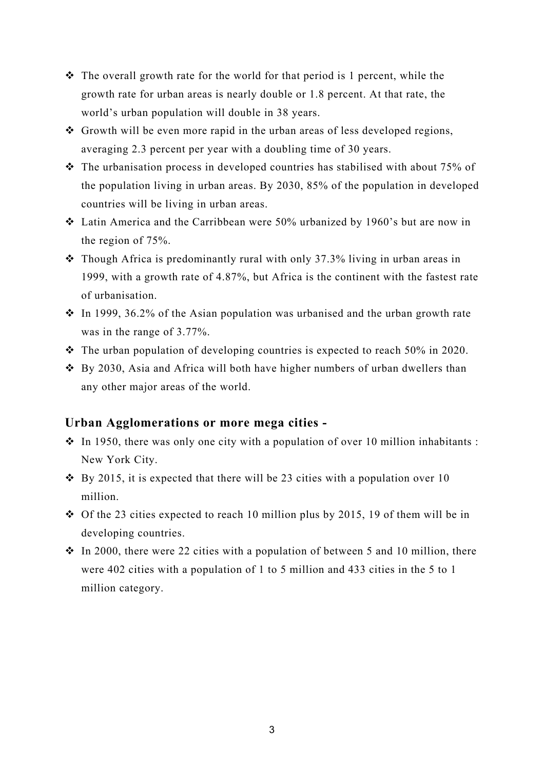- $\triangle$  The overall growth rate for the world for that period is 1 percent, while the growth rate for urban areas is nearly double or 1.8 percent. At that rate, the world's urban population will double in 38 years.
- Growth will be even more rapid in the urban areas of less developed regions, averaging 2.3 percent per year with a doubling time of 30 years.
- $\cdot \cdot$  The urbanisation process in developed countries has stabilised with about 75% of the population living in urban areas. By 2030, 85% of the population in developed countries will be living in urban areas.
- Latin America and the Carribbean were 50% urbanized by 1960's but are now in the region of 75%.
- Though Africa is predominantly rural with only 37.3% living in urban areas in 1999, with a growth rate of 4.87%, but Africa is the continent with the fastest rate of urbanisation.
- $\cdot$  In 1999, 36.2% of the Asian population was urbanised and the urban growth rate was in the range of 3.77%.
- $\cdot \cdot$  The urban population of developing countries is expected to reach 50% in 2020.
- $\div$  By 2030, Asia and Africa will both have higher numbers of urban dwellers than any other major areas of the world.

#### **Urban Agglomerations or more mega cities -**

- $\cdot$  In 1950, there was only one city with a population of over 10 million inhabitants : New York City.
- $\div$  By 2015, it is expected that there will be 23 cities with a population over 10 million.
- $\div$  Of the 23 cities expected to reach 10 million plus by 2015, 19 of them will be in developing countries.
- $\div$  In 2000, there were 22 cities with a population of between 5 and 10 million, there were 402 cities with a population of 1 to 5 million and 433 cities in the 5 to 1 million category.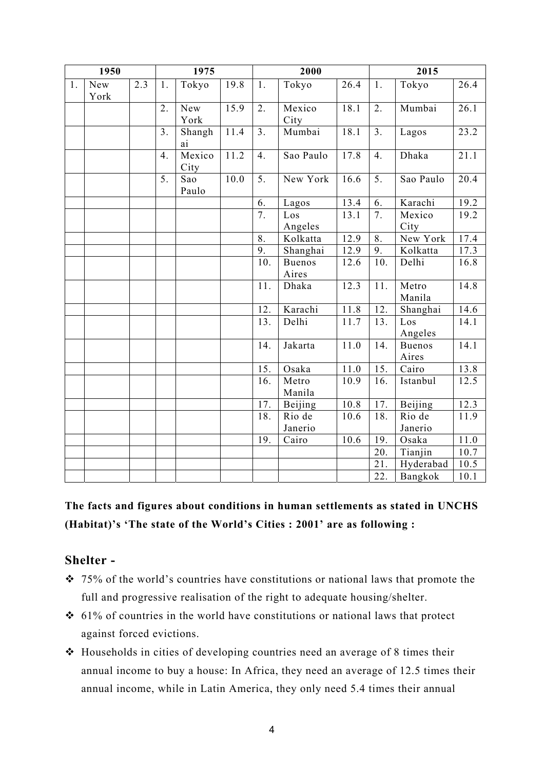| 1950 |             |                  | 1975           |                |      |                  | 2000                   |                   |                  | 2015                   |      |  |
|------|-------------|------------------|----------------|----------------|------|------------------|------------------------|-------------------|------------------|------------------------|------|--|
| 1.   | New<br>York | $\overline{2.3}$ | 1.             | Tokyo          | 19.8 | 1.               | $\overline{T}$ okyo    | 26.4              | 1.               | Tokyo                  | 26.4 |  |
|      |             |                  | 2.             | New<br>York    | 15.9 | $\overline{2}$ . | Mexico<br>City         | 18.1              | $\overline{2}$ . | Mumbai                 | 26.1 |  |
|      |             |                  | 3 <sub>1</sub> | Shangh<br>ai   | 11.4 | 3 <sub>1</sub>   | Mumbai                 | 18.1              | 3 <sub>1</sub>   | Lagos                  | 23.2 |  |
|      |             |                  | 4.             | Mexico<br>City | 11.2 | $\overline{4}$ . | Sao Paulo              | 17.8              | $\overline{4}$ . | Dhaka                  | 21.1 |  |
|      |             |                  | 5.             | Sao<br>Paulo   | 10.0 | 5.               | New York               | 16.6              | $\overline{5}$ . | Sao Paulo              | 20.4 |  |
|      |             |                  |                |                |      | 6.               | Lagos                  | 13.4              | 6.               | Karachi                | 19.2 |  |
|      |             |                  |                |                |      | 7.               | Los<br>Angeles         | 13.1              | 7.               | Mexico<br>City         | 19.2 |  |
|      |             |                  |                |                |      | 8.               | Kolkatta               | 12.9              | 8.               | New York               | 17.4 |  |
|      |             |                  |                |                |      | 9.               | Shanghai               | 12.9              | 9.               | Kolkatta               | 17.3 |  |
|      |             |                  |                |                |      | 10.              | <b>Buenos</b><br>Aires | $12.\overline{6}$ | 10.              | Delhi                  | 16.8 |  |
|      |             |                  |                |                |      | 11.              | Dhaka                  | 12.3              | 11.              | Metro<br>Manila        | 14.8 |  |
|      |             |                  |                |                |      | 12.              | Karachi                | 11.8              | 12.              | Shanghai               | 14.6 |  |
|      |             |                  |                |                |      | 13.              | Delhi                  | 11.7              | 13.              | Los<br>Angeles         | 14.1 |  |
|      |             |                  |                |                |      | 14.              | Jakarta                | 11.0              | 14.              | <b>Buenos</b><br>Aires | 14.1 |  |
|      |             |                  |                |                |      | 15.              | Osaka                  | 11.0              | 15.              | Cairo                  | 13.8 |  |
|      |             |                  |                |                |      | 16.              | Metro<br>Manila        | 10.9              | 16.              | Istanbul               | 12.5 |  |
|      |             |                  |                |                |      | 17.              | Beijing                | 10.8              | 17.              | Beijing                | 12.3 |  |
|      |             |                  |                |                |      | 18.              | Rio de<br>Janerio      | 10.6              | 18.              | Rio de<br>Janerio      | 11.9 |  |
|      |             |                  |                |                |      | 19.              | Cairo                  | 10.6              | 19.              | Osaka                  | 11.0 |  |
|      |             |                  |                |                |      |                  |                        |                   | 20.              | Tianjin                | 10.7 |  |
|      |             |                  |                |                |      |                  |                        |                   | 21.              | Hyderabad              | 10.5 |  |
|      |             |                  |                |                |      |                  |                        |                   | 22.              | Bangkok                | 10.1 |  |

# **The facts and figures about conditions in human settlements as stated in UNCHS (Habitat)'s 'The state of the World's Cities : 2001' are as following :**

### **Shelter -**

- 75% of the world's countries have constitutions or national laws that promote the full and progressive realisation of the right to adequate housing/shelter.
- $\div$  61% of countries in the world have constitutions or national laws that protect against forced evictions.
- Households in cities of developing countries need an average of 8 times their annual income to buy a house: In Africa, they need an average of 12.5 times their annual income, while in Latin America, they only need 5.4 times their annual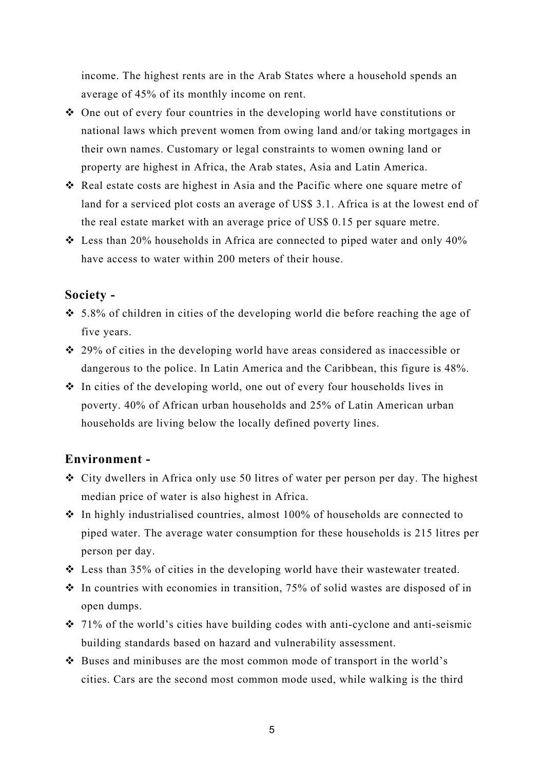income. The highest rents are in the Arab States where a household spends an average of 45% of its monthly income on rent.

- One out of every four countries in the developing world have constitutions or national laws which prevent women from owing land and/or taking mortgages in their own names. Customary or legal constraints to women owning land or property are highest in Africa, the Arab states, Asia and Latin America.
- Real estate costs are highest in Asia and the Pacific where one square metre of land for a serviced plot costs an average of US\$ 3.1. Africa is at the lowest end of the real estate market with an average price of US\$ 0.15 per square metre.
- $\cdot$  Less than 20% households in Africa are connected to piped water and only 40% have access to water within 200 meters of their house.

### **Society -**

- 5.8% of children in cities of the developing world die before reaching the age of five years.
- 29% of cities in the developing world have areas considered as inaccessible or dangerous to the police. In Latin America and the Caribbean, this figure is 48%.
- $\triangle$  In cities of the developing world, one out of every four households lives in poverty. 40% of African urban households and 25% of Latin American urban households are living below the locally defined poverty lines.

### **Environment -**

- City dwellers in Africa only use 50 litres of water per person per day. The highest median price of water is also highest in Africa.
- $\cdot$  In highly industrialised countries, almost 100% of households are connected to piped water. The average water consumption for these households is 215 litres per person per day.
- Less than 35% of cities in the developing world have their wastewater treated.
- $\cdot$  In countries with economies in transition, 75% of solid wastes are disposed of in open dumps.
- $\cdot$  71% of the world's cities have building codes with anti-cyclone and anti-seismic building standards based on hazard and vulnerability assessment.
- $\triangle$  Buses and minibuses are the most common mode of transport in the world's cities. Cars are the second most common mode used, while walking is the third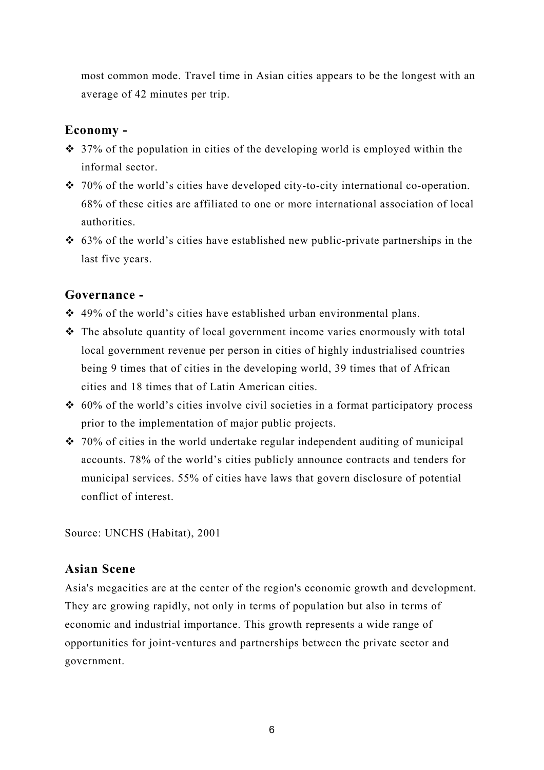most common mode. Travel time in Asian cities appears to be the longest with an average of 42 minutes per trip.

### **Economy -**

- $\cdot$  37% of the population in cities of the developing world is employed within the informal sector.
- $\div$  70% of the world's cities have developed city-to-city international co-operation. 68% of these cities are affiliated to one or more international association of local authorities.
- $\div$  63% of the world's cities have established new public-private partnerships in the last five years.

## **Governance -**

- $\div$  49% of the world's cities have established urban environmental plans.
- The absolute quantity of local government income varies enormously with total local government revenue per person in cities of highly industrialised countries being 9 times that of cities in the developing world, 39 times that of African cities and 18 times that of Latin American cities.
- $\div$  60% of the world's cities involve civil societies in a format participatory process prior to the implementation of major public projects.
- $\div$  70% of cities in the world undertake regular independent auditing of municipal accounts. 78% of the world's cities publicly announce contracts and tenders for municipal services. 55% of cities have laws that govern disclosure of potential conflict of interest.

Source: UNCHS (Habitat), 2001

# **Asian Scene**

Asia's megacities are at the center of the region's economic growth and development. They are growing rapidly, not only in terms of population but also in terms of economic and industrial importance. This growth represents a wide range of opportunities for joint-ventures and partnerships between the private sector and government.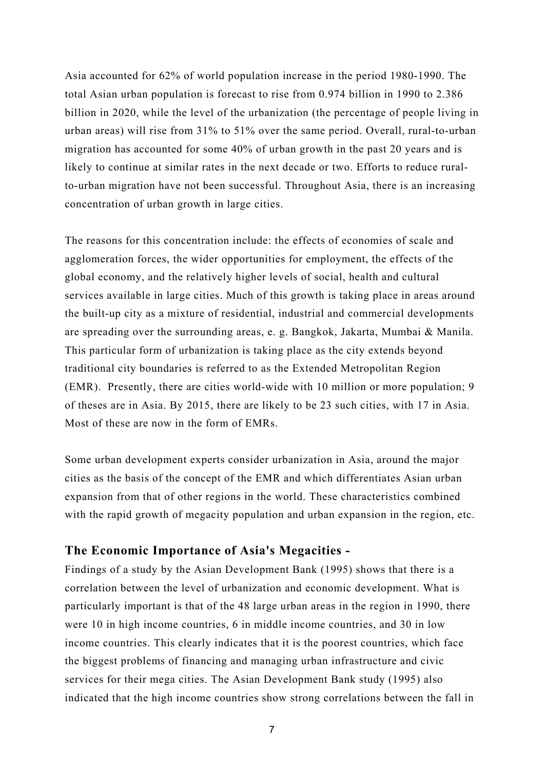Asia accounted for 62% of world population increase in the period 1980-1990. The total Asian urban population is forecast to rise from 0.974 billion in 1990 to 2.386 billion in 2020, while the level of the urbanization (the percentage of people living in urban areas) will rise from 31% to 51% over the same period. Overall, rural-to-urban migration has accounted for some 40% of urban growth in the past 20 years and is likely to continue at similar rates in the next decade or two. Efforts to reduce ruralto-urban migration have not been successful. Throughout Asia, there is an increasing concentration of urban growth in large cities.

The reasons for this concentration include: the effects of economies of scale and agglomeration forces, the wider opportunities for employment, the effects of the global economy, and the relatively higher levels of social, health and cultural services available in large cities. Much of this growth is taking place in areas around the built-up city as a mixture of residential, industrial and commercial developments are spreading over the surrounding areas, e. g. Bangkok, Jakarta, Mumbai & Manila. This particular form of urbanization is taking place as the city extends beyond traditional city boundaries is referred to as the Extended Metropolitan Region (EMR). Presently, there are cities world-wide with 10 million or more population; 9 of theses are in Asia. By 2015, there are likely to be 23 such cities, with 17 in Asia. Most of these are now in the form of EMRs.

Some urban development experts consider urbanization in Asia, around the major cities as the basis of the concept of the EMR and which differentiates Asian urban expansion from that of other regions in the world. These characteristics combined with the rapid growth of megacity population and urban expansion in the region, etc.

#### **The Economic Importance of Asia's Megacities -**

Findings of a study by the Asian Development Bank (1995) shows that there is a correlation between the level of urbanization and economic development. What is particularly important is that of the 48 large urban areas in the region in 1990, there were 10 in high income countries, 6 in middle income countries, and 30 in low income countries. This clearly indicates that it is the poorest countries, which face the biggest problems of financing and managing urban infrastructure and civic services for their mega cities. The Asian Development Bank study (1995) also indicated that the high income countries show strong correlations between the fall in

<sup>7</sup>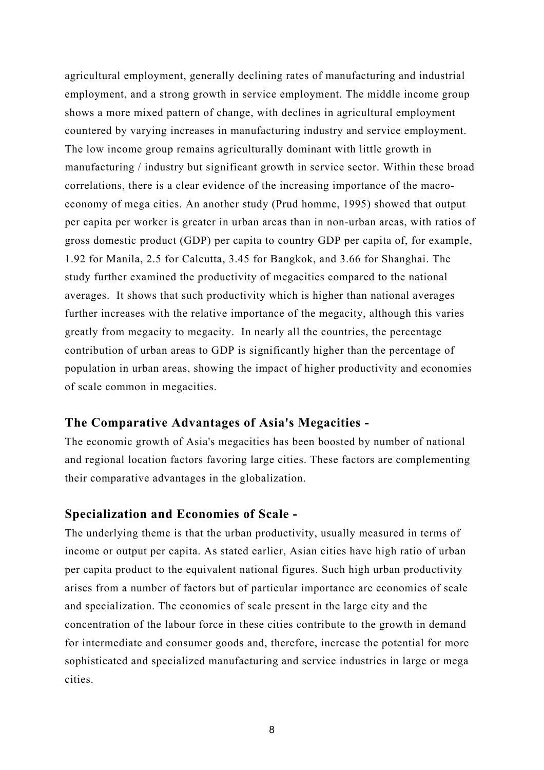agricultural employment, generally declining rates of manufacturing and industrial employment, and a strong growth in service employment. The middle income group shows a more mixed pattern of change, with declines in agricultural employment countered by varying increases in manufacturing industry and service employment. The low income group remains agriculturally dominant with little growth in manufacturing / industry but significant growth in service sector. Within these broad correlations, there is a clear evidence of the increasing importance of the macroeconomy of mega cities. An another study (Prud homme, 1995) showed that output per capita per worker is greater in urban areas than in non-urban areas, with ratios of gross domestic product (GDP) per capita to country GDP per capita of, for example, 1.92 for Manila, 2.5 for Calcutta, 3.45 for Bangkok, and 3.66 for Shanghai. The study further examined the productivity of megacities compared to the national averages. It shows that such productivity which is higher than national averages further increases with the relative importance of the megacity, although this varies greatly from megacity to megacity. In nearly all the countries, the percentage contribution of urban areas to GDP is significantly higher than the percentage of population in urban areas, showing the impact of higher productivity and economies of scale common in megacities.

#### **The Comparative Advantages of Asia's Megacities -**

The economic growth of Asia's megacities has been boosted by number of national and regional location factors favoring large cities. These factors are complementing their comparative advantages in the globalization.

#### **Specialization and Economies of Scale -**

The underlying theme is that the urban productivity, usually measured in terms of income or output per capita. As stated earlier, Asian cities have high ratio of urban per capita product to the equivalent national figures. Such high urban productivity arises from a number of factors but of particular importance are economies of scale and specialization. The economies of scale present in the large city and the concentration of the labour force in these cities contribute to the growth in demand for intermediate and consumer goods and, therefore, increase the potential for more sophisticated and specialized manufacturing and service industries in large or mega cities.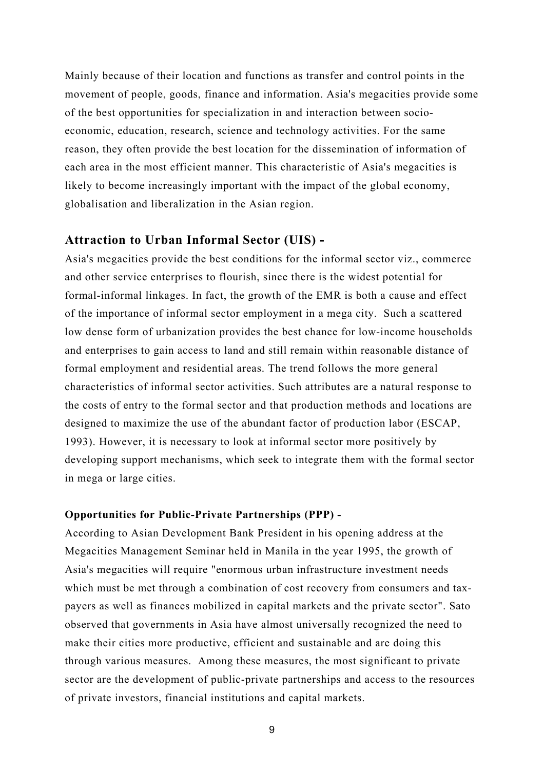Mainly because of their location and functions as transfer and control points in the movement of people, goods, finance and information. Asia's megacities provide some of the best opportunities for specialization in and interaction between socioeconomic, education, research, science and technology activities. For the same reason, they often provide the best location for the dissemination of information of each area in the most efficient manner. This characteristic of Asia's megacities is likely to become increasingly important with the impact of the global economy, globalisation and liberalization in the Asian region.

#### **Attraction to Urban Informal Sector (UIS) -**

Asia's megacities provide the best conditions for the informal sector viz., commerce and other service enterprises to flourish, since there is the widest potential for formal-informal linkages. In fact, the growth of the EMR is both a cause and effect of the importance of informal sector employment in a mega city. Such a scattered low dense form of urbanization provides the best chance for low-income households and enterprises to gain access to land and still remain within reasonable distance of formal employment and residential areas. The trend follows the more general characteristics of informal sector activities. Such attributes are a natural response to the costs of entry to the formal sector and that production methods and locations are designed to maximize the use of the abundant factor of production labor (ESCAP, 1993). However, it is necessary to look at informal sector more positively by developing support mechanisms, which seek to integrate them with the formal sector in mega or large cities.

#### **Opportunities for Public-Private Partnerships (PPP) -**

According to Asian Development Bank President in his opening address at the Megacities Management Seminar held in Manila in the year 1995, the growth of Asia's megacities will require "enormous urban infrastructure investment needs which must be met through a combination of cost recovery from consumers and taxpayers as well as finances mobilized in capital markets and the private sector". Sato observed that governments in Asia have almost universally recognized the need to make their cities more productive, efficient and sustainable and are doing this through various measures. Among these measures, the most significant to private sector are the development of public-private partnerships and access to the resources of private investors, financial institutions and capital markets.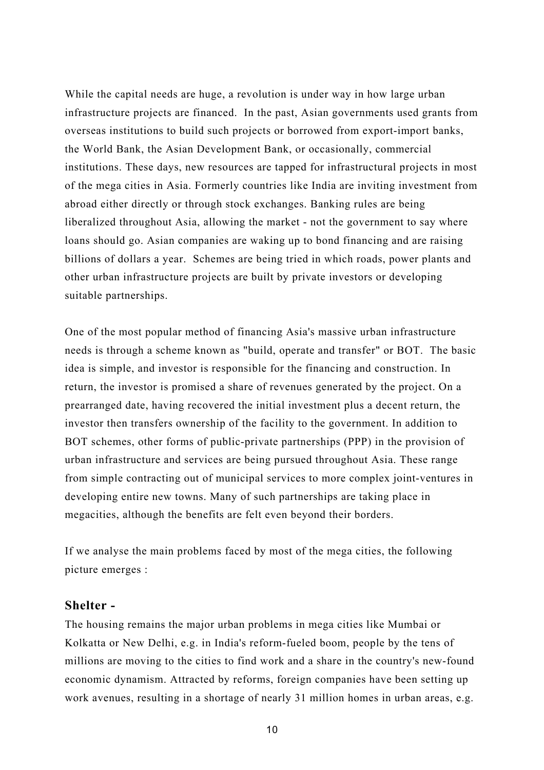While the capital needs are huge, a revolution is under way in how large urban infrastructure projects are financed. In the past, Asian governments used grants from overseas institutions to build such projects or borrowed from export-import banks, the World Bank, the Asian Development Bank, or occasionally, commercial institutions. These days, new resources are tapped for infrastructural projects in most of the mega cities in Asia. Formerly countries like India are inviting investment from abroad either directly or through stock exchanges. Banking rules are being liberalized throughout Asia, allowing the market - not the government to say where loans should go. Asian companies are waking up to bond financing and are raising billions of dollars a year. Schemes are being tried in which roads, power plants and other urban infrastructure projects are built by private investors or developing suitable partnerships.

One of the most popular method of financing Asia's massive urban infrastructure needs is through a scheme known as "build, operate and transfer" or BOT. The basic idea is simple, and investor is responsible for the financing and construction. In return, the investor is promised a share of revenues generated by the project. On a prearranged date, having recovered the initial investment plus a decent return, the investor then transfers ownership of the facility to the government. In addition to BOT schemes, other forms of public-private partnerships (PPP) in the provision of urban infrastructure and services are being pursued throughout Asia. These range from simple contracting out of municipal services to more complex joint-ventures in developing entire new towns. Many of such partnerships are taking place in megacities, although the benefits are felt even beyond their borders.

If we analyse the main problems faced by most of the mega cities, the following picture emerges :

#### **Shelter -**

The housing remains the major urban problems in mega cities like Mumbai or Kolkatta or New Delhi, e.g. in India's reform-fueled boom, people by the tens of millions are moving to the cities to find work and a share in the country's new-found economic dynamism. Attracted by reforms, foreign companies have been setting up work avenues, resulting in a shortage of nearly 31 million homes in urban areas, e.g.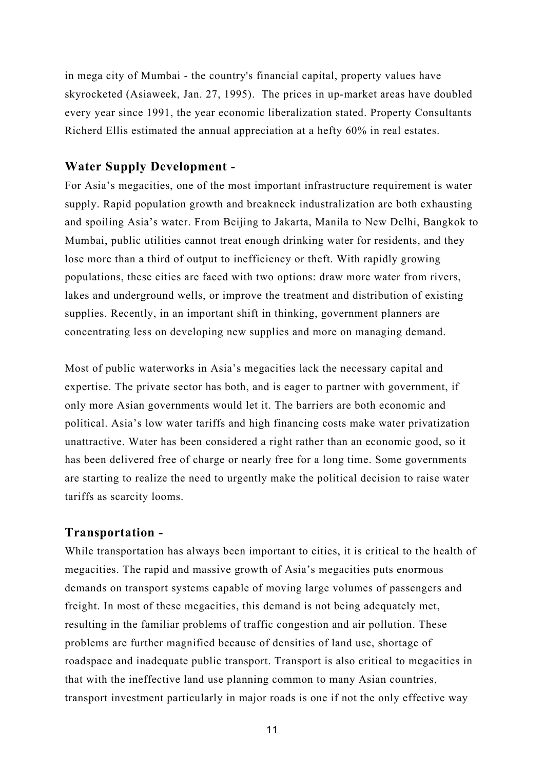in mega city of Mumbai - the country's financial capital, property values have skyrocketed (Asiaweek, Jan. 27, 1995). The prices in up-market areas have doubled every year since 1991, the year economic liberalization stated. Property Consultants Richerd Ellis estimated the annual appreciation at a hefty 60% in real estates.

### **Water Supply Development -**

For Asia's megacities, one of the most important infrastructure requirement is water supply. Rapid population growth and breakneck industralization are both exhausting and spoiling Asia's water. From Beijing to Jakarta, Manila to New Delhi, Bangkok to Mumbai, public utilities cannot treat enough drinking water for residents, and they lose more than a third of output to inefficiency or theft. With rapidly growing populations, these cities are faced with two options: draw more water from rivers, lakes and underground wells, or improve the treatment and distribution of existing supplies. Recently, in an important shift in thinking, government planners are concentrating less on developing new supplies and more on managing demand.

Most of public waterworks in Asia's megacities lack the necessary capital and expertise. The private sector has both, and is eager to partner with government, if only more Asian governments would let it. The barriers are both economic and political. Asia's low water tariffs and high financing costs make water privatization unattractive. Water has been considered a right rather than an economic good, so it has been delivered free of charge or nearly free for a long time. Some governments are starting to realize the need to urgently make the political decision to raise water tariffs as scarcity looms.

#### **Transportation -**

While transportation has always been important to cities, it is critical to the health of megacities. The rapid and massive growth of Asia's megacities puts enormous demands on transport systems capable of moving large volumes of passengers and freight. In most of these megacities, this demand is not being adequately met, resulting in the familiar problems of traffic congestion and air pollution. These problems are further magnified because of densities of land use, shortage of roadspace and inadequate public transport. Transport is also critical to megacities in that with the ineffective land use planning common to many Asian countries, transport investment particularly in major roads is one if not the only effective way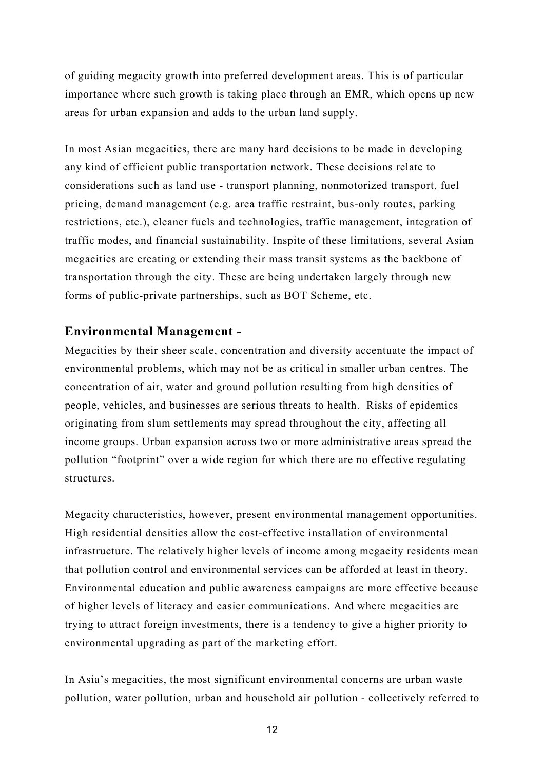of guiding megacity growth into preferred development areas. This is of particular importance where such growth is taking place through an EMR, which opens up new areas for urban expansion and adds to the urban land supply.

In most Asian megacities, there are many hard decisions to be made in developing any kind of efficient public transportation network. These decisions relate to considerations such as land use - transport planning, nonmotorized transport, fuel pricing, demand management (e.g. area traffic restraint, bus-only routes, parking restrictions, etc.), cleaner fuels and technologies, traffic management, integration of traffic modes, and financial sustainability. Inspite of these limitations, several Asian megacities are creating or extending their mass transit systems as the backbone of transportation through the city. These are being undertaken largely through new forms of public-private partnerships, such as BOT Scheme, etc.

### **Environmental Management -**

Megacities by their sheer scale, concentration and diversity accentuate the impact of environmental problems, which may not be as critical in smaller urban centres. The concentration of air, water and ground pollution resulting from high densities of people, vehicles, and businesses are serious threats to health. Risks of epidemics originating from slum settlements may spread throughout the city, affecting all income groups. Urban expansion across two or more administrative areas spread the pollution "footprint" over a wide region for which there are no effective regulating structures.

Megacity characteristics, however, present environmental management opportunities. High residential densities allow the cost-effective installation of environmental infrastructure. The relatively higher levels of income among megacity residents mean that pollution control and environmental services can be afforded at least in theory. Environmental education and public awareness campaigns are more effective because of higher levels of literacy and easier communications. And where megacities are trying to attract foreign investments, there is a tendency to give a higher priority to environmental upgrading as part of the marketing effort.

In Asia's megacities, the most significant environmental concerns are urban waste pollution, water pollution, urban and household air pollution - collectively referred to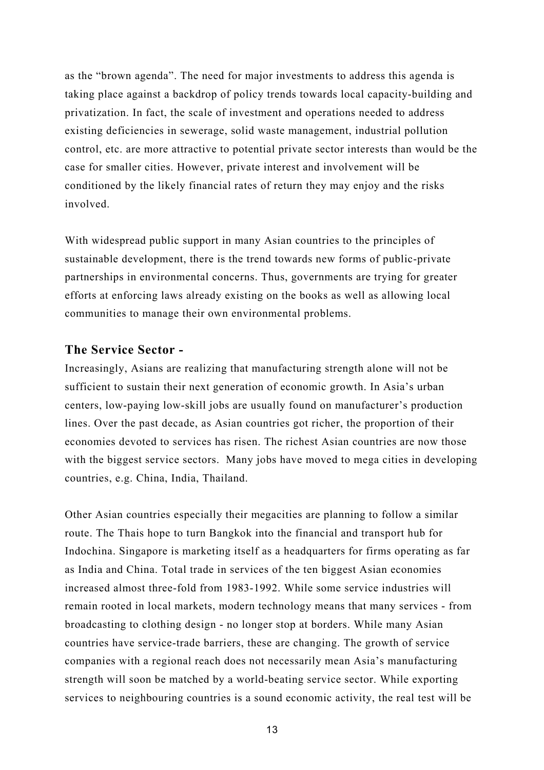as the "brown agenda". The need for major investments to address this agenda is taking place against a backdrop of policy trends towards local capacity-building and privatization. In fact, the scale of investment and operations needed to address existing deficiencies in sewerage, solid waste management, industrial pollution control, etc. are more attractive to potential private sector interests than would be the case for smaller cities. However, private interest and involvement will be conditioned by the likely financial rates of return they may enjoy and the risks involved.

With widespread public support in many Asian countries to the principles of sustainable development, there is the trend towards new forms of public-private partnerships in environmental concerns. Thus, governments are trying for greater efforts at enforcing laws already existing on the books as well as allowing local communities to manage their own environmental problems.

#### **The Service Sector -**

Increasingly, Asians are realizing that manufacturing strength alone will not be sufficient to sustain their next generation of economic growth. In Asia's urban centers, low-paying low-skill jobs are usually found on manufacturer's production lines. Over the past decade, as Asian countries got richer, the proportion of their economies devoted to services has risen. The richest Asian countries are now those with the biggest service sectors. Many jobs have moved to mega cities in developing countries, e.g. China, India, Thailand.

Other Asian countries especially their megacities are planning to follow a similar route. The Thais hope to turn Bangkok into the financial and transport hub for Indochina. Singapore is marketing itself as a headquarters for firms operating as far as India and China. Total trade in services of the ten biggest Asian economies increased almost three-fold from 1983-1992. While some service industries will remain rooted in local markets, modern technology means that many services - from broadcasting to clothing design - no longer stop at borders. While many Asian countries have service-trade barriers, these are changing. The growth of service companies with a regional reach does not necessarily mean Asia's manufacturing strength will soon be matched by a world-beating service sector. While exporting services to neighbouring countries is a sound economic activity, the real test will be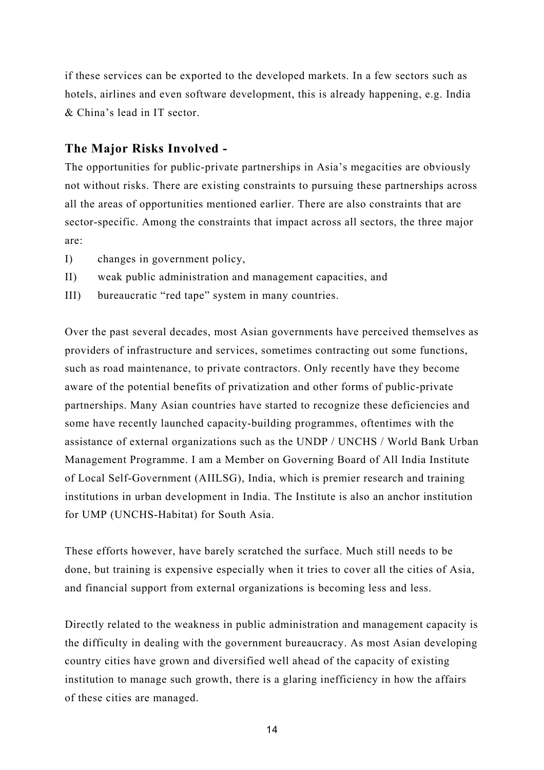if these services can be exported to the developed markets. In a few sectors such as hotels, airlines and even software development, this is already happening, e.g. India & China's lead in IT sector.

## **The Major Risks Involved -**

The opportunities for public-private partnerships in Asia's megacities are obviously not without risks. There are existing constraints to pursuing these partnerships across all the areas of opportunities mentioned earlier. There are also constraints that are sector-specific. Among the constraints that impact across all sectors, the three major are:

- I) changes in government policy,
- II) weak public administration and management capacities, and
- III) bureaucratic "red tape" system in many countries.

Over the past several decades, most Asian governments have perceived themselves as providers of infrastructure and services, sometimes contracting out some functions, such as road maintenance, to private contractors. Only recently have they become aware of the potential benefits of privatization and other forms of public-private partnerships. Many Asian countries have started to recognize these deficiencies and some have recently launched capacity-building programmes, oftentimes with the assistance of external organizations such as the UNDP / UNCHS / World Bank Urban Management Programme. I am a Member on Governing Board of All India Institute of Local Self-Government (AIILSG), India, which is premier research and training institutions in urban development in India. The Institute is also an anchor institution for UMP (UNCHS-Habitat) for South Asia.

These efforts however, have barely scratched the surface. Much still needs to be done, but training is expensive especially when it tries to cover all the cities of Asia, and financial support from external organizations is becoming less and less.

Directly related to the weakness in public administration and management capacity is the difficulty in dealing with the government bureaucracy. As most Asian developing country cities have grown and diversified well ahead of the capacity of existing institution to manage such growth, there is a glaring inefficiency in how the affairs of these cities are managed.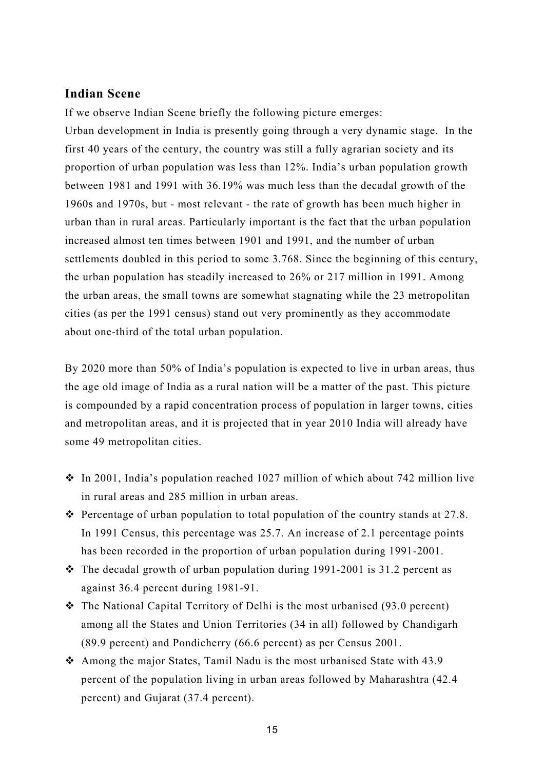#### **Indian Scene**

If we observe Indian Scene briefly the following picture emerges:

Urban development in India is presently going through a very dynamic stage. In the first 40 years of the century, the country was still a fully agrarian society and its proportion of urban population was less than 12%. India's urban population growth between 1981 and 1991 with 36.19% was much less than the decadal growth of the 1960s and 1970s, but - most relevant - the rate of growth has been much higher in urban than in rural areas. Particularly important is the fact that the urban population increased almost ten times between 1901 and 1991, and the number of urban settlements doubled in this period to some 3.768. Since the beginning of this century, the urban population has steadily increased to 26% or 217 million in 1991. Among the urban areas, the small towns are somewhat stagnating while the 23 metropolitan cities (as per the 1991 census) stand out very prominently as they accommodate about one-third of the total urban population.

By 2020 more than 50% of India's population is expected to live in urban areas, thus the age old image of India as a rural nation will be a matter of the past. This picture is compounded by a rapid concentration process of population in larger towns, cities and metropolitan areas, and it is projected that in year 2010 India will already have some 49 metropolitan cities.

- $\cdot$  In 2001, India's population reached 1027 million of which about 742 million live in rural areas and 285 million in urban areas.
- $\cdot \cdot$  Percentage of urban population to total population of the country stands at 27.8. In 1991 Census, this percentage was 25.7. An increase of 2.1 percentage points has been recorded in the proportion of urban population during 1991-2001.
- $\cdot \cdot$  The decadal growth of urban population during 1991-2001 is 31.2 percent as against 36.4 percent during 1981-91.
- $\div$  The National Capital Territory of Delhi is the most urbanised (93.0 percent) among all the States and Union Territories (34 in all) followed by Chandigarh (89.9 percent) and Pondicherry (66.6 percent) as per Census 2001.
- $\triangle$  Among the major States, Tamil Nadu is the most urbanised State with 43.9 percent of the population living in urban areas followed by Maharashtra (42.4 percent) and Gujarat (37.4 percent).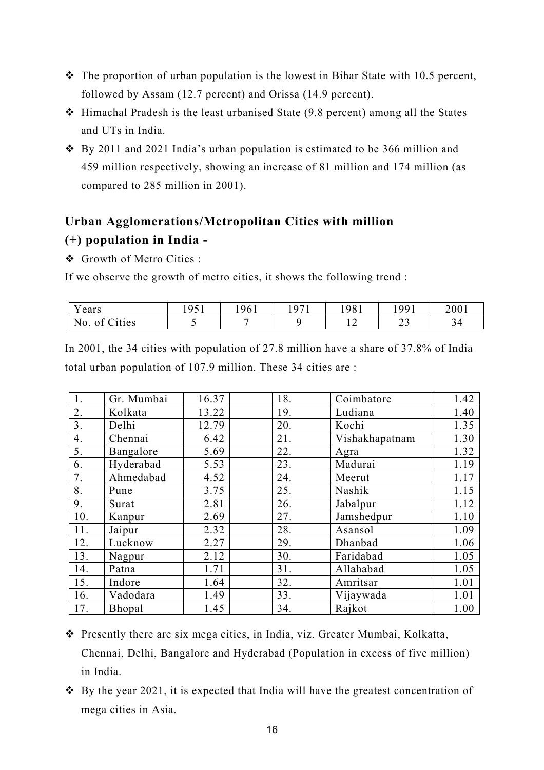- $\cdot \cdot$  The proportion of urban population is the lowest in Bihar State with 10.5 percent, followed by Assam (12.7 percent) and Orissa (14.9 percent).
- $\div$  Himachal Pradesh is the least urbanised State (9.8 percent) among all the States and UTs in India.
- $\div$  By 2011 and 2021 India's urban population is estimated to be 366 million and 459 million respectively, showing an increase of 81 million and 174 million (as compared to 285 million in 2001).

# **Urban Agglomerations/Metropolitan Cities with million (+) population in India -**

Growth of Metro Cities :

If we observe the growth of metro cities, it shows the following trend :

| ears                          | 1051<br>. .<br>ັບ 1 | 961 | 107 <sup>1</sup> | !981 | 1991         | 2001 |
|-------------------------------|---------------------|-----|------------------|------|--------------|------|
| $\sim$<br>No.<br>'ities<br>ΟĪ |                     |     |                  |      | $\sim$<br>ر_ | 94   |

In 2001, the 34 cities with population of 27.8 million have a share of 37.8% of India total urban population of 107.9 million. These 34 cities are :

| $\overline{1}$ .  | Gr. Mumbai | 16.37 | 18. | Coimbatore     | 1.42 |
|-------------------|------------|-------|-----|----------------|------|
| 2.                | Kolkata    | 13.22 | 19. | Ludiana        | 1.40 |
| $\overline{3}$ .  | Delhi      | 12.79 | 20. | Kochi          | 1.35 |
| 4.                | Chennai    | 6.42  | 21. | Vishakhapatnam | 1.30 |
| 5.                | Bangalore  | 5.69  | 22. | Agra           | 1.32 |
| 6.                | Hyderabad  | 5.53  | 23. | Madurai        | 1.19 |
| 7.                | Ahmedabad  | 4.52  | 24. | Meerut         | 1.17 |
| 8.                | Pune       | 3.75  | 25. | Nashik         | 1.15 |
| 9.                | Surat      | 2.81  | 26. | Jabalpur       | 1.12 |
| 10.               | Kanpur     | 2.69  | 27. | Jamshedpur     | 1.10 |
| 11.               | Jaipur     | 2.32  | 28. | Asansol        | 1.09 |
| $\overline{12}$ . | Lucknow    | 2.27  | 29. | Dhanbad        | 1.06 |
| 13.               | Nagpur     | 2.12  | 30. | Faridabad      | 1.05 |
| 14.               | Patna      | 1.71  | 31. | Allahabad      | 1.05 |
| 15.               | Indore     | 1.64  | 32. | Amritsar       | 1.01 |
| 16.               | Vadodara   | 1.49  | 33. | Vijaywada      | 1.01 |
| 17.               | Bhopal     | 1.45  | 34. | Rajkot         | 1.00 |

 Presently there are six mega cities, in India, viz. Greater Mumbai, Kolkatta, Chennai, Delhi, Bangalore and Hyderabad (Population in excess of five million) in India.

 $\div$  By the year 2021, it is expected that India will have the greatest concentration of mega cities in Asia.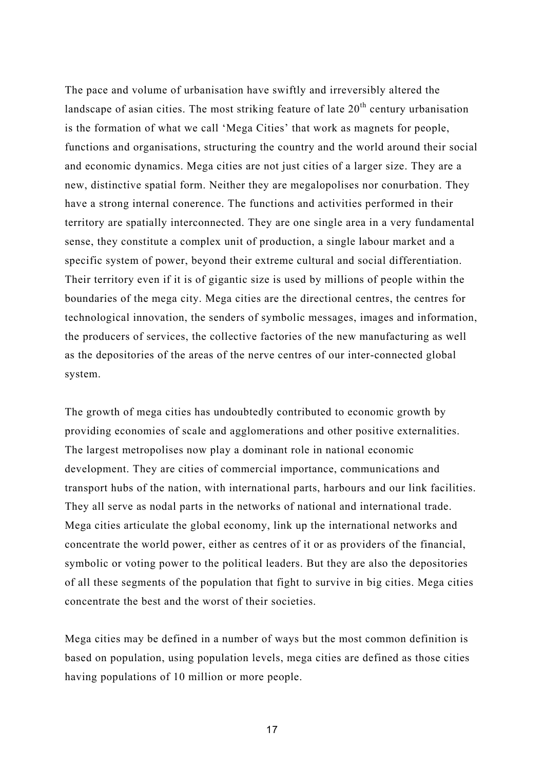The pace and volume of urbanisation have swiftly and irreversibly altered the landscape of asian cities. The most striking feature of late  $20<sup>th</sup>$  century urbanisation is the formation of what we call 'Mega Cities' that work as magnets for people, functions and organisations, structuring the country and the world around their social and economic dynamics. Mega cities are not just cities of a larger size. They are a new, distinctive spatial form. Neither they are megalopolises nor conurbation. They have a strong internal conerence. The functions and activities performed in their territory are spatially interconnected. They are one single area in a very fundamental sense, they constitute a complex unit of production, a single labour market and a specific system of power, beyond their extreme cultural and social differentiation. Their territory even if it is of gigantic size is used by millions of people within the boundaries of the mega city. Mega cities are the directional centres, the centres for technological innovation, the senders of symbolic messages, images and information, the producers of services, the collective factories of the new manufacturing as well as the depositories of the areas of the nerve centres of our inter-connected global system.

The growth of mega cities has undoubtedly contributed to economic growth by providing economies of scale and agglomerations and other positive externalities. The largest metropolises now play a dominant role in national economic development. They are cities of commercial importance, communications and transport hubs of the nation, with international parts, harbours and our link facilities. They all serve as nodal parts in the networks of national and international trade. Mega cities articulate the global economy, link up the international networks and concentrate the world power, either as centres of it or as providers of the financial, symbolic or voting power to the political leaders. But they are also the depositories of all these segments of the population that fight to survive in big cities. Mega cities concentrate the best and the worst of their societies.

Mega cities may be defined in a number of ways but the most common definition is based on population, using population levels, mega cities are defined as those cities having populations of 10 million or more people.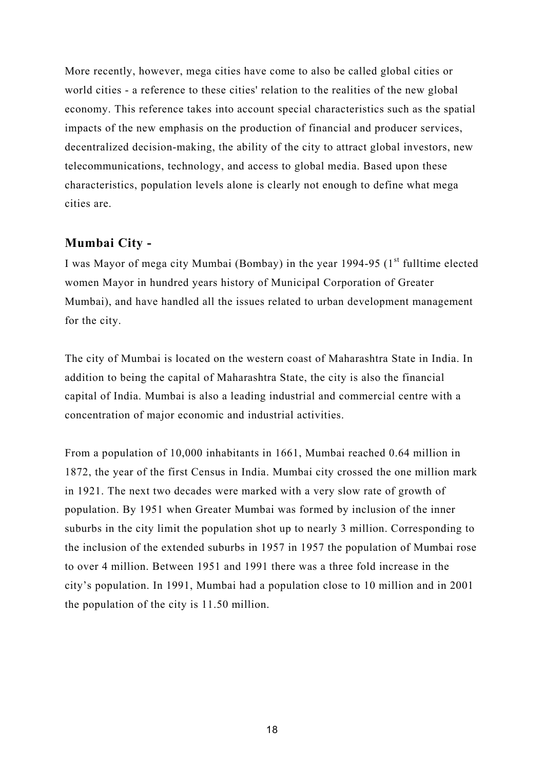More recently, however, mega cities have come to also be called global cities or world cities - a reference to these cities' relation to the realities of the new global economy. This reference takes into account special characteristics such as the spatial impacts of the new emphasis on the production of financial and producer services, decentralized decision-making, the ability of the city to attract global investors, new telecommunications, technology, and access to global media. Based upon these characteristics, population levels alone is clearly not enough to define what mega cities are.

### **Mumbai City -**

I was Mayor of mega city Mumbai (Bombay) in the year 1994-95 ( $1<sup>st</sup>$  fulltime elected women Mayor in hundred years history of Municipal Corporation of Greater Mumbai), and have handled all the issues related to urban development management for the city.

The city of Mumbai is located on the western coast of Maharashtra State in India. In addition to being the capital of Maharashtra State, the city is also the financial capital of India. Mumbai is also a leading industrial and commercial centre with a concentration of major economic and industrial activities.

From a population of 10,000 inhabitants in 1661, Mumbai reached 0.64 million in 1872, the year of the first Census in India. Mumbai city crossed the one million mark in 1921. The next two decades were marked with a very slow rate of growth of population. By 1951 when Greater Mumbai was formed by inclusion of the inner suburbs in the city limit the population shot up to nearly 3 million. Corresponding to the inclusion of the extended suburbs in 1957 in 1957 the population of Mumbai rose to over 4 million. Between 1951 and 1991 there was a three fold increase in the city's population. In 1991, Mumbai had a population close to 10 million and in 2001 the population of the city is 11.50 million.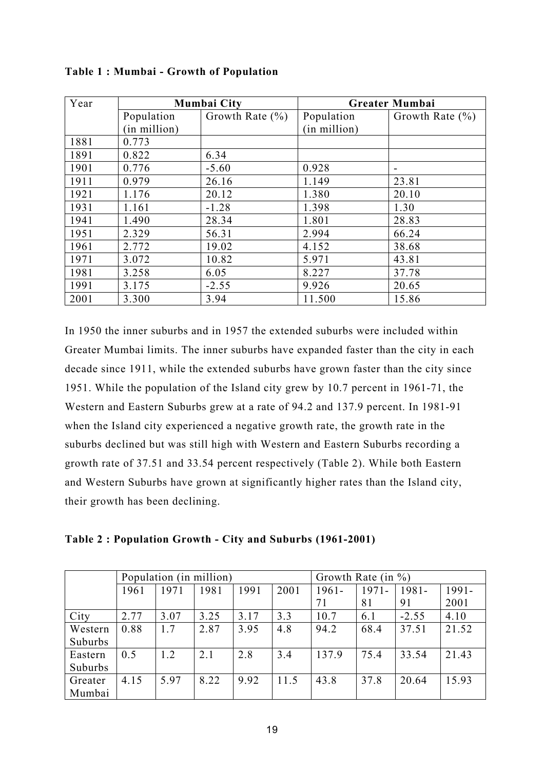| Year |              | Mumbai City         | <b>Greater Mumbai</b> |                          |  |
|------|--------------|---------------------|-----------------------|--------------------------|--|
|      | Population   | Growth Rate $(\% )$ | Population            | Growth Rate $(\% )$      |  |
|      | (in million) |                     | (in million)          |                          |  |
| 1881 | 0.773        |                     |                       |                          |  |
| 1891 | 0.822        | 6.34                |                       |                          |  |
| 1901 | 0.776        | $-5.60$             | 0.928                 | $\overline{\phantom{a}}$ |  |
| 1911 | 0.979        | 26.16               | 1.149                 | 23.81                    |  |
| 1921 | 1.176        | 20.12               | 1.380                 | 20.10                    |  |
| 1931 | 1.161        | $-1.28$             | 1.398                 | 1.30                     |  |
| 1941 | 1.490        | 28.34               | 1.801                 | 28.83                    |  |
| 1951 | 2.329        | 56.31               | 2.994                 | 66.24                    |  |
| 1961 | 2.772        | 19.02               | 4.152                 | 38.68                    |  |
| 1971 | 3.072        | 10.82               | 5.971                 | 43.81                    |  |
| 1981 | 3.258        | 6.05                | 8.227                 | 37.78                    |  |
| 1991 | 3.175        | $-2.55$             | 9.926                 | 20.65                    |  |
| 2001 | 3.300        | 3.94                | 11.500                | 15.86                    |  |

**Table 1 : Mumbai - Growth of Population** 

In 1950 the inner suburbs and in 1957 the extended suburbs were included within Greater Mumbai limits. The inner suburbs have expanded faster than the city in each decade since 1911, while the extended suburbs have grown faster than the city since 1951. While the population of the Island city grew by 10.7 percent in 1961-71, the Western and Eastern Suburbs grew at a rate of 94.2 and 137.9 percent. In 1981-91 when the Island city experienced a negative growth rate, the growth rate in the suburbs declined but was still high with Western and Eastern Suburbs recording a growth rate of 37.51 and 33.54 percent respectively (Table 2). While both Eastern and Western Suburbs have grown at significantly higher rates than the Island city, their growth has been declining.

|  | Table 2: Population Growth - City and Suburbs (1961-2001) |  |  |  |
|--|-----------------------------------------------------------|--|--|--|
|  |                                                           |  |  |  |

|         |      |      | Population (in million) |      | Growth Rate (in $\%$ ) |          |          |          |       |
|---------|------|------|-------------------------|------|------------------------|----------|----------|----------|-------|
|         | 1961 | 1971 | 1981                    | 1991 | 2001                   | $1961 -$ | $1971 -$ | $1981 -$ | 1991- |
|         |      |      |                         |      |                        | 71       | 81       | 91       | 2001  |
| City    | 2.77 | 3.07 | 3.25                    | 3.17 | 3.3                    | 10.7     | 6.1      | $-2.55$  | 4.10  |
| Western | 0.88 | 1.7  | 2.87                    | 3.95 | 4.8                    | 94.2     | 68.4     | 37.51    | 21.52 |
| Suburbs |      |      |                         |      |                        |          |          |          |       |
| Eastern | 0.5  | 1.2  | 2.1                     | 2.8  | 3.4                    | 137.9    | 75.4     | 33.54    | 21.43 |
| Suburbs |      |      |                         |      |                        |          |          |          |       |
| Greater | 4.15 | 5.97 | 8.22                    | 9.92 | 11.5                   | 43.8     | 37.8     | 20.64    | 15.93 |
| Mumbai  |      |      |                         |      |                        |          |          |          |       |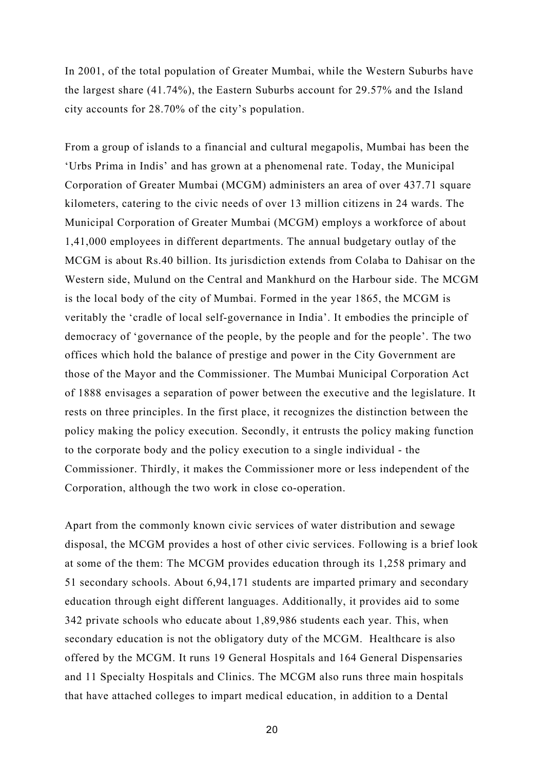In 2001, of the total population of Greater Mumbai, while the Western Suburbs have the largest share (41.74%), the Eastern Suburbs account for 29.57% and the Island city accounts for 28.70% of the city's population.

From a group of islands to a financial and cultural megapolis, Mumbai has been the 'Urbs Prima in Indis' and has grown at a phenomenal rate. Today, the Municipal Corporation of Greater Mumbai (MCGM) administers an area of over 437.71 square kilometers, catering to the civic needs of over 13 million citizens in 24 wards. The Municipal Corporation of Greater Mumbai (MCGM) employs a workforce of about 1,41,000 employees in different departments. The annual budgetary outlay of the MCGM is about Rs.40 billion. Its jurisdiction extends from Colaba to Dahisar on the Western side, Mulund on the Central and Mankhurd on the Harbour side. The MCGM is the local body of the city of Mumbai. Formed in the year 1865, the MCGM is veritably the 'cradle of local self-governance in India'. It embodies the principle of democracy of 'governance of the people, by the people and for the people'. The two offices which hold the balance of prestige and power in the City Government are those of the Mayor and the Commissioner. The Mumbai Municipal Corporation Act of 1888 envisages a separation of power between the executive and the legislature. It rests on three principles. In the first place, it recognizes the distinction between the policy making the policy execution. Secondly, it entrusts the policy making function to the corporate body and the policy execution to a single individual - the Commissioner. Thirdly, it makes the Commissioner more or less independent of the Corporation, although the two work in close co-operation.

Apart from the commonly known civic services of water distribution and sewage disposal, the MCGM provides a host of other civic services. Following is a brief look at some of the them: The MCGM provides education through its 1,258 primary and 51 secondary schools. About 6,94,171 students are imparted primary and secondary education through eight different languages. Additionally, it provides aid to some 342 private schools who educate about 1,89,986 students each year. This, when secondary education is not the obligatory duty of the MCGM. Healthcare is also offered by the MCGM. It runs 19 General Hospitals and 164 General Dispensaries and 11 Specialty Hospitals and Clinics. The MCGM also runs three main hospitals that have attached colleges to impart medical education, in addition to a Dental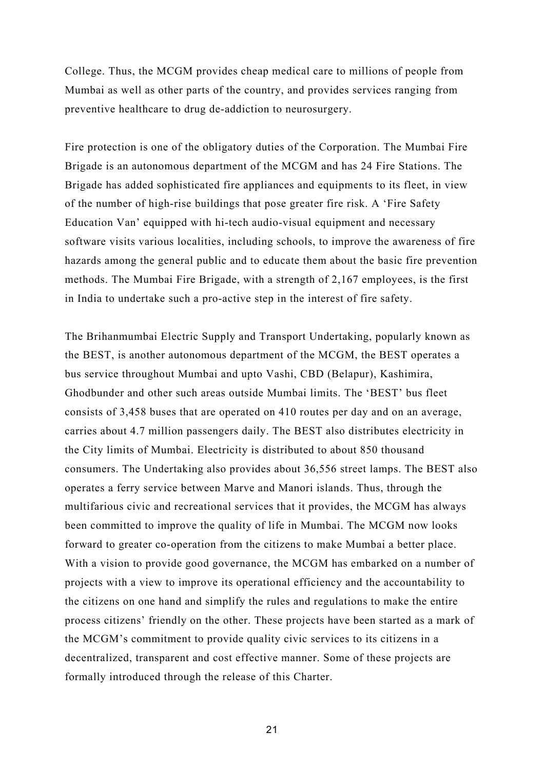College. Thus, the MCGM provides cheap medical care to millions of people from Mumbai as well as other parts of the country, and provides services ranging from preventive healthcare to drug de-addiction to neurosurgery.

Fire protection is one of the obligatory duties of the Corporation. The Mumbai Fire Brigade is an autonomous department of the MCGM and has 24 Fire Stations. The Brigade has added sophisticated fire appliances and equipments to its fleet, in view of the number of high-rise buildings that pose greater fire risk. A 'Fire Safety Education Van' equipped with hi-tech audio-visual equipment and necessary software visits various localities, including schools, to improve the awareness of fire hazards among the general public and to educate them about the basic fire prevention methods. The Mumbai Fire Brigade, with a strength of 2,167 employees, is the first in India to undertake such a pro-active step in the interest of fire safety.

The Brihanmumbai Electric Supply and Transport Undertaking, popularly known as the BEST, is another autonomous department of the MCGM, the BEST operates a bus service throughout Mumbai and upto Vashi, CBD (Belapur), Kashimira, Ghodbunder and other such areas outside Mumbai limits. The 'BEST' bus fleet consists of 3,458 buses that are operated on 410 routes per day and on an average, carries about 4.7 million passengers daily. The BEST also distributes electricity in the City limits of Mumbai. Electricity is distributed to about 850 thousand consumers. The Undertaking also provides about 36,556 street lamps. The BEST also operates a ferry service between Marve and Manori islands. Thus, through the multifarious civic and recreational services that it provides, the MCGM has always been committed to improve the quality of life in Mumbai. The MCGM now looks forward to greater co-operation from the citizens to make Mumbai a better place. With a vision to provide good governance, the MCGM has embarked on a number of projects with a view to improve its operational efficiency and the accountability to the citizens on one hand and simplify the rules and regulations to make the entire process citizens' friendly on the other. These projects have been started as a mark of the MCGM's commitment to provide quality civic services to its citizens in a decentralized, transparent and cost effective manner. Some of these projects are formally introduced through the release of this Charter.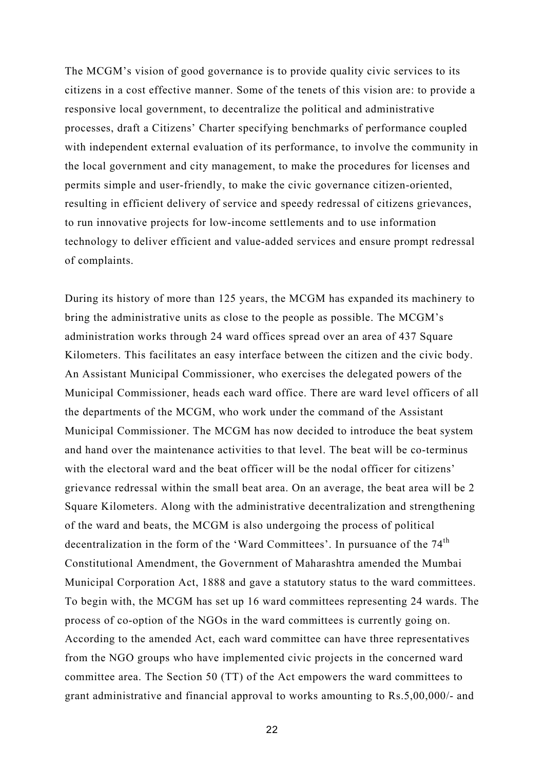The MCGM's vision of good governance is to provide quality civic services to its citizens in a cost effective manner. Some of the tenets of this vision are: to provide a responsive local government, to decentralize the political and administrative processes, draft a Citizens' Charter specifying benchmarks of performance coupled with independent external evaluation of its performance, to involve the community in the local government and city management, to make the procedures for licenses and permits simple and user-friendly, to make the civic governance citizen-oriented, resulting in efficient delivery of service and speedy redressal of citizens grievances, to run innovative projects for low-income settlements and to use information technology to deliver efficient and value-added services and ensure prompt redressal of complaints.

During its history of more than 125 years, the MCGM has expanded its machinery to bring the administrative units as close to the people as possible. The MCGM's administration works through 24 ward offices spread over an area of 437 Square Kilometers. This facilitates an easy interface between the citizen and the civic body. An Assistant Municipal Commissioner, who exercises the delegated powers of the Municipal Commissioner, heads each ward office. There are ward level officers of all the departments of the MCGM, who work under the command of the Assistant Municipal Commissioner. The MCGM has now decided to introduce the beat system and hand over the maintenance activities to that level. The beat will be co-terminus with the electoral ward and the beat officer will be the nodal officer for citizens' grievance redressal within the small beat area. On an average, the beat area will be 2 Square Kilometers. Along with the administrative decentralization and strengthening of the ward and beats, the MCGM is also undergoing the process of political decentralization in the form of the 'Ward Committees'. In pursuance of the 74<sup>th</sup> Constitutional Amendment, the Government of Maharashtra amended the Mumbai Municipal Corporation Act, 1888 and gave a statutory status to the ward committees. To begin with, the MCGM has set up 16 ward committees representing 24 wards. The process of co-option of the NGOs in the ward committees is currently going on. According to the amended Act, each ward committee can have three representatives from the NGO groups who have implemented civic projects in the concerned ward committee area. The Section 50 (TT) of the Act empowers the ward committees to grant administrative and financial approval to works amounting to Rs.5,00,000/- and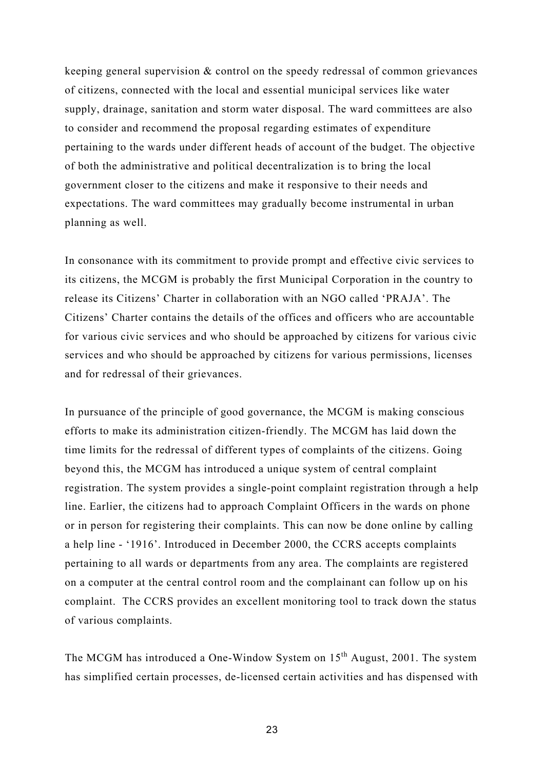keeping general supervision & control on the speedy redressal of common grievances of citizens, connected with the local and essential municipal services like water supply, drainage, sanitation and storm water disposal. The ward committees are also to consider and recommend the proposal regarding estimates of expenditure pertaining to the wards under different heads of account of the budget. The objective of both the administrative and political decentralization is to bring the local government closer to the citizens and make it responsive to their needs and expectations. The ward committees may gradually become instrumental in urban planning as well.

In consonance with its commitment to provide prompt and effective civic services to its citizens, the MCGM is probably the first Municipal Corporation in the country to release its Citizens' Charter in collaboration with an NGO called 'PRAJA'. The Citizens' Charter contains the details of the offices and officers who are accountable for various civic services and who should be approached by citizens for various civic services and who should be approached by citizens for various permissions, licenses and for redressal of their grievances.

In pursuance of the principle of good governance, the MCGM is making conscious efforts to make its administration citizen-friendly. The MCGM has laid down the time limits for the redressal of different types of complaints of the citizens. Going beyond this, the MCGM has introduced a unique system of central complaint registration. The system provides a single-point complaint registration through a help line. Earlier, the citizens had to approach Complaint Officers in the wards on phone or in person for registering their complaints. This can now be done online by calling a help line - '1916'. Introduced in December 2000, the CCRS accepts complaints pertaining to all wards or departments from any area. The complaints are registered on a computer at the central control room and the complainant can follow up on his complaint. The CCRS provides an excellent monitoring tool to track down the status of various complaints.

The MCGM has introduced a One-Window System on 15<sup>th</sup> August, 2001. The system has simplified certain processes, de-licensed certain activities and has dispensed with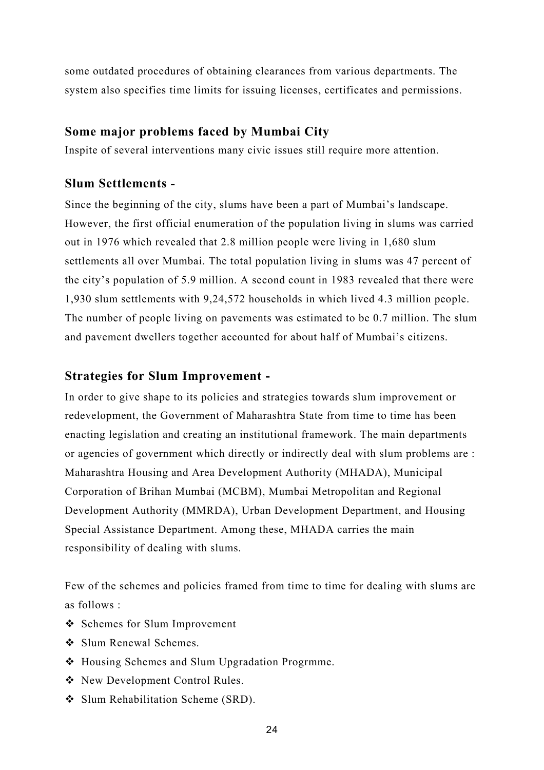some outdated procedures of obtaining clearances from various departments. The system also specifies time limits for issuing licenses, certificates and permissions.

#### **Some major problems faced by Mumbai City**

Inspite of several interventions many civic issues still require more attention.

### **Slum Settlements -**

Since the beginning of the city, slums have been a part of Mumbai's landscape. However, the first official enumeration of the population living in slums was carried out in 1976 which revealed that 2.8 million people were living in 1,680 slum settlements all over Mumbai. The total population living in slums was 47 percent of the city's population of 5.9 million. A second count in 1983 revealed that there were 1,930 slum settlements with 9,24,572 households in which lived 4.3 million people. The number of people living on pavements was estimated to be 0.7 million. The slum and pavement dwellers together accounted for about half of Mumbai's citizens.

### **Strategies for Slum Improvement -**

In order to give shape to its policies and strategies towards slum improvement or redevelopment, the Government of Maharashtra State from time to time has been enacting legislation and creating an institutional framework. The main departments or agencies of government which directly or indirectly deal with slum problems are : Maharashtra Housing and Area Development Authority (MHADA), Municipal Corporation of Brihan Mumbai (MCBM), Mumbai Metropolitan and Regional Development Authority (MMRDA), Urban Development Department, and Housing Special Assistance Department. Among these, MHADA carries the main responsibility of dealing with slums.

Few of the schemes and policies framed from time to time for dealing with slums are as follows :

- ❖ Schemes for Slum Improvement
- Slum Renewal Schemes.
- Housing Schemes and Slum Upgradation Progrmme.
- ◆ New Development Control Rules.
- Slum Rehabilitation Scheme (SRD).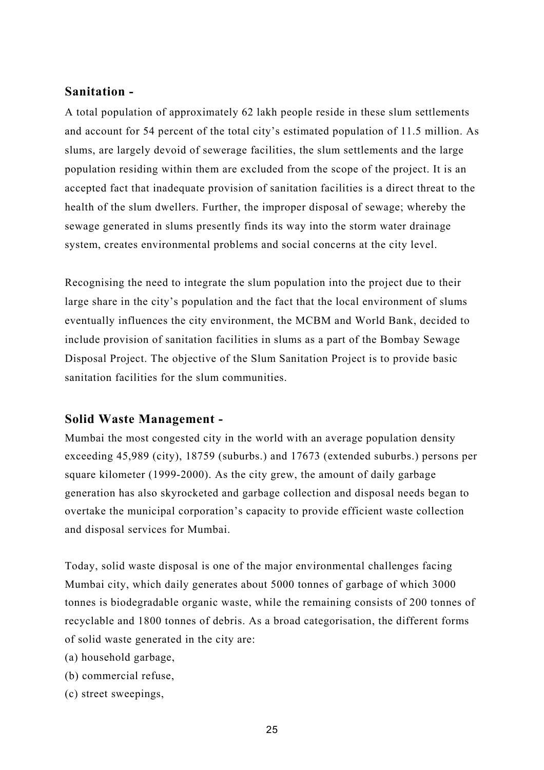#### **Sanitation -**

A total population of approximately 62 lakh people reside in these slum settlements and account for 54 percent of the total city's estimated population of 11.5 million. As slums, are largely devoid of sewerage facilities, the slum settlements and the large population residing within them are excluded from the scope of the project. It is an accepted fact that inadequate provision of sanitation facilities is a direct threat to the health of the slum dwellers. Further, the improper disposal of sewage; whereby the sewage generated in slums presently finds its way into the storm water drainage system, creates environmental problems and social concerns at the city level.

Recognising the need to integrate the slum population into the project due to their large share in the city's population and the fact that the local environment of slums eventually influences the city environment, the MCBM and World Bank, decided to include provision of sanitation facilities in slums as a part of the Bombay Sewage Disposal Project. The objective of the Slum Sanitation Project is to provide basic sanitation facilities for the slum communities.

#### **Solid Waste Management -**

Mumbai the most congested city in the world with an average population density exceeding 45,989 (city), 18759 (suburbs.) and 17673 (extended suburbs.) persons per square kilometer (1999-2000). As the city grew, the amount of daily garbage generation has also skyrocketed and garbage collection and disposal needs began to overtake the municipal corporation's capacity to provide efficient waste collection and disposal services for Mumbai.

Today, solid waste disposal is one of the major environmental challenges facing Mumbai city, which daily generates about 5000 tonnes of garbage of which 3000 tonnes is biodegradable organic waste, while the remaining consists of 200 tonnes of recyclable and 1800 tonnes of debris. As a broad categorisation, the different forms of solid waste generated in the city are:

(a) household garbage,

- (b) commercial refuse,
- (c) street sweepings,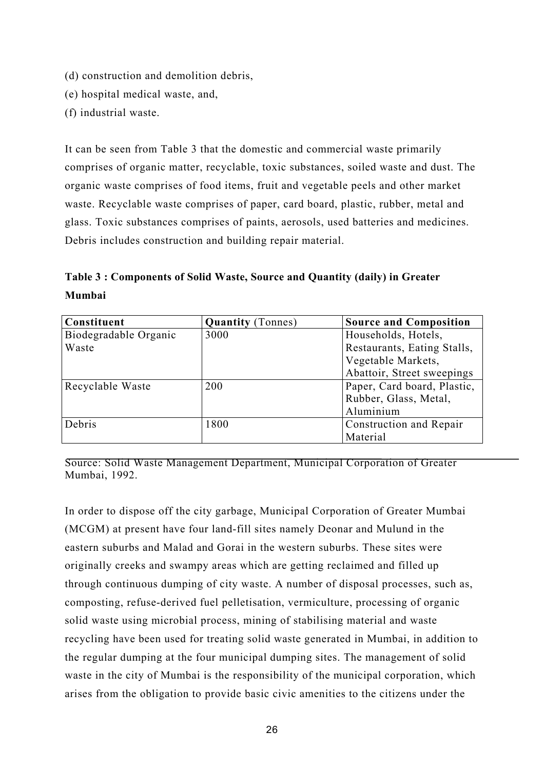- (d) construction and demolition debris,
- (e) hospital medical waste, and,
- (f) industrial waste.

It can be seen from Table 3 that the domestic and commercial waste primarily comprises of organic matter, recyclable, toxic substances, soiled waste and dust. The organic waste comprises of food items, fruit and vegetable peels and other market waste. Recyclable waste comprises of paper, card board, plastic, rubber, metal and glass. Toxic substances comprises of paints, aerosols, used batteries and medicines. Debris includes construction and building repair material.

**Table 3 : Components of Solid Waste, Source and Quantity (daily) in Greater Mumbai** 

| Constituent           | <b>Quantity</b> (Tonnes) | <b>Source and Composition</b> |
|-----------------------|--------------------------|-------------------------------|
| Biodegradable Organic | 3000                     | Households, Hotels,           |
| Waste                 |                          | Restaurants, Eating Stalls,   |
|                       |                          | Vegetable Markets,            |
|                       |                          | Abattoir, Street sweepings    |
| Recyclable Waste      | 200                      | Paper, Card board, Plastic,   |
|                       |                          | Rubber, Glass, Metal,         |
|                       |                          | Aluminium                     |
| Debris                | 1800                     | Construction and Repair       |
|                       |                          | Material                      |

Source: Solid Waste Management Department, Municipal Corporation of Greater Mumbai, 1992.

In order to dispose off the city garbage, Municipal Corporation of Greater Mumbai (MCGM) at present have four land-fill sites namely Deonar and Mulund in the eastern suburbs and Malad and Gorai in the western suburbs. These sites were originally creeks and swampy areas which are getting reclaimed and filled up through continuous dumping of city waste. A number of disposal processes, such as, composting, refuse-derived fuel pelletisation, vermiculture, processing of organic solid waste using microbial process, mining of stabilising material and waste recycling have been used for treating solid waste generated in Mumbai, in addition to the regular dumping at the four municipal dumping sites. The management of solid waste in the city of Mumbai is the responsibility of the municipal corporation, which arises from the obligation to provide basic civic amenities to the citizens under the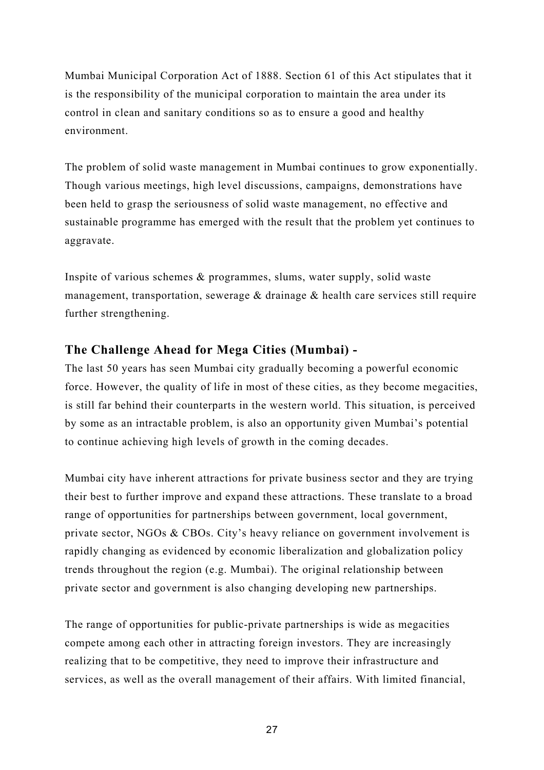Mumbai Municipal Corporation Act of 1888. Section 61 of this Act stipulates that it is the responsibility of the municipal corporation to maintain the area under its control in clean and sanitary conditions so as to ensure a good and healthy environment.

The problem of solid waste management in Mumbai continues to grow exponentially. Though various meetings, high level discussions, campaigns, demonstrations have been held to grasp the seriousness of solid waste management, no effective and sustainable programme has emerged with the result that the problem yet continues to aggravate.

Inspite of various schemes & programmes, slums, water supply, solid waste management, transportation, sewerage & drainage & health care services still require further strengthening.

### **The Challenge Ahead for Mega Cities (Mumbai) -**

The last 50 years has seen Mumbai city gradually becoming a powerful economic force. However, the quality of life in most of these cities, as they become megacities, is still far behind their counterparts in the western world. This situation, is perceived by some as an intractable problem, is also an opportunity given Mumbai's potential to continue achieving high levels of growth in the coming decades.

Mumbai city have inherent attractions for private business sector and they are trying their best to further improve and expand these attractions. These translate to a broad range of opportunities for partnerships between government, local government, private sector, NGOs & CBOs. City's heavy reliance on government involvement is rapidly changing as evidenced by economic liberalization and globalization policy trends throughout the region (e.g. Mumbai). The original relationship between private sector and government is also changing developing new partnerships.

The range of opportunities for public-private partnerships is wide as megacities compete among each other in attracting foreign investors. They are increasingly realizing that to be competitive, they need to improve their infrastructure and services, as well as the overall management of their affairs. With limited financial,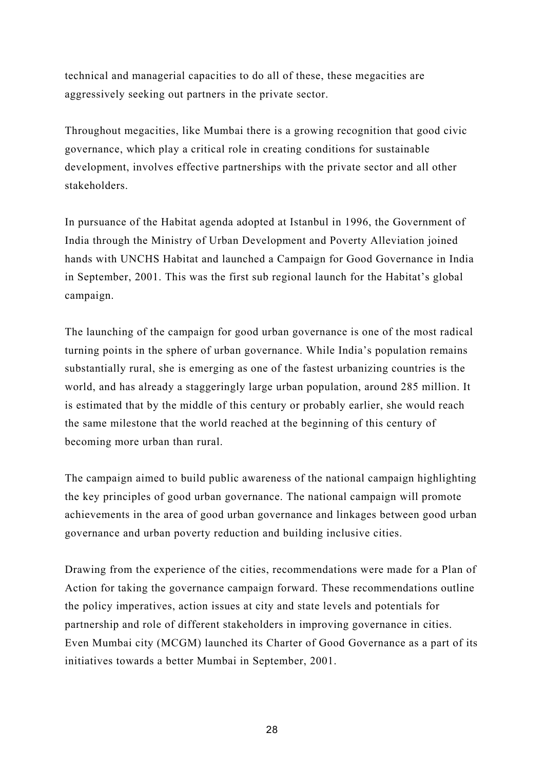technical and managerial capacities to do all of these, these megacities are aggressively seeking out partners in the private sector.

Throughout megacities, like Mumbai there is a growing recognition that good civic governance, which play a critical role in creating conditions for sustainable development, involves effective partnerships with the private sector and all other stakeholders.

In pursuance of the Habitat agenda adopted at Istanbul in 1996, the Government of India through the Ministry of Urban Development and Poverty Alleviation joined hands with UNCHS Habitat and launched a Campaign for Good Governance in India in September, 2001. This was the first sub regional launch for the Habitat's global campaign.

The launching of the campaign for good urban governance is one of the most radical turning points in the sphere of urban governance. While India's population remains substantially rural, she is emerging as one of the fastest urbanizing countries is the world, and has already a staggeringly large urban population, around 285 million. It is estimated that by the middle of this century or probably earlier, she would reach the same milestone that the world reached at the beginning of this century of becoming more urban than rural.

The campaign aimed to build public awareness of the national campaign highlighting the key principles of good urban governance. The national campaign will promote achievements in the area of good urban governance and linkages between good urban governance and urban poverty reduction and building inclusive cities.

Drawing from the experience of the cities, recommendations were made for a Plan of Action for taking the governance campaign forward. These recommendations outline the policy imperatives, action issues at city and state levels and potentials for partnership and role of different stakeholders in improving governance in cities. Even Mumbai city (MCGM) launched its Charter of Good Governance as a part of its initiatives towards a better Mumbai in September, 2001.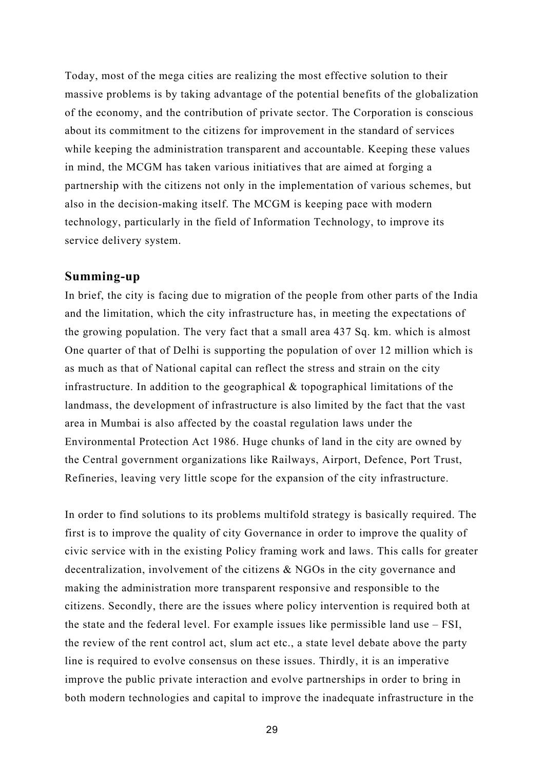Today, most of the mega cities are realizing the most effective solution to their massive problems is by taking advantage of the potential benefits of the globalization of the economy, and the contribution of private sector. The Corporation is conscious about its commitment to the citizens for improvement in the standard of services while keeping the administration transparent and accountable. Keeping these values in mind, the MCGM has taken various initiatives that are aimed at forging a partnership with the citizens not only in the implementation of various schemes, but also in the decision-making itself. The MCGM is keeping pace with modern technology, particularly in the field of Information Technology, to improve its service delivery system.

#### **Summing-up**

In brief, the city is facing due to migration of the people from other parts of the India and the limitation, which the city infrastructure has, in meeting the expectations of the growing population. The very fact that a small area 437 Sq. km. which is almost One quarter of that of Delhi is supporting the population of over 12 million which is as much as that of National capital can reflect the stress and strain on the city infrastructure. In addition to the geographical  $\&$  topographical limitations of the landmass, the development of infrastructure is also limited by the fact that the vast area in Mumbai is also affected by the coastal regulation laws under the Environmental Protection Act 1986. Huge chunks of land in the city are owned by the Central government organizations like Railways, Airport, Defence, Port Trust, Refineries, leaving very little scope for the expansion of the city infrastructure.

In order to find solutions to its problems multifold strategy is basically required. The first is to improve the quality of city Governance in order to improve the quality of civic service with in the existing Policy framing work and laws. This calls for greater decentralization, involvement of the citizens & NGOs in the city governance and making the administration more transparent responsive and responsible to the citizens. Secondly, there are the issues where policy intervention is required both at the state and the federal level. For example issues like permissible land use – FSI, the review of the rent control act, slum act etc., a state level debate above the party line is required to evolve consensus on these issues. Thirdly, it is an imperative improve the public private interaction and evolve partnerships in order to bring in both modern technologies and capital to improve the inadequate infrastructure in the